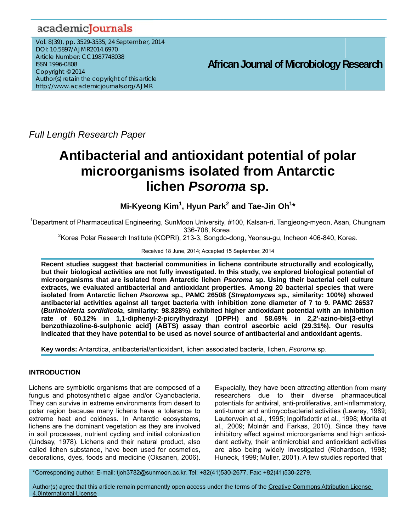# academicJournals

V Vol. 8(39), pp. 3529-3535, 24 September, 2 2014 D DOI: 10.5897/A AJMR2014.6970 DOI: 10.5897/AJMR2014.6970<br>Article Number: CC1987748038 IS SSN 1996-0808 8 Copyright © 2014 Author(s) retain the copyright of this article http://www.academicjournals.org/AJMR

**African Journal of Microbiology Research** 

*Full Length Research Paper* 

# **Antibacterial and antioxidant potential of polar microorganisms isolated from Antarctic li chen** *P Psorom ma* **sp.**

**Mi-Kyeong Kim<sup>1</sup>, Hyun Park<sup>2</sup> and Tae-Jin Oh<sup>1</sup>\*** 

<sup>1</sup>Department of Pharmaceutical Engineering, SunMoon University, #100, Kalsan-ri, Tangjeong-myeon, Asan, Chungnam 336 6-708, Korea . m<br>ny

<sup>2</sup> Korea Polar Research Institute (KOPRI), 213-3, Songdo-dong, Yeonsu-gu, Incheon 406-840, Korea.

Received 18 June, 2014; Accepted 15 September, 2014

Recent studies suggest that bacterial communities in lichens contribute structurally and ecologically, but their biological activities are not fully investigated. In this study, we explored biological potential of **microorgan nisms that a re isolated f from Antarct tic lichen** *Ps soroma* **sp. U Using their bacterial cel ll culture**  extracts, we evaluated antibacterial and antioxidant properties. Among 20 bacterial species that were isolated from Antarctic lichen *Psoroma* sp., PAMC 26508 (*Streptomyces* sp., similarity: 100%) showed antibacterial activities against all target bacteria with inhibition zone diameter of 7 to 9. PAMC 26537 (*Burkholderia sordidicola*, similarity: 98.828%) exhibited higher antioxidant potential with an inhibition **rate of 6 60.12% in 1,1-dipheny l-2-picrylhyd drazyl (DPP PH) and 5 8.69% in 2,2'-azino-bi is[3-ethyl benzothiazoline-6-sulphonic acid] (ABTS) assay than control ascorbic acid (29.31%). Our results indicated th hat they have e potential to o be used as novel sourc ce of antibac cterial and an ntioxidant ag gents.** 

Key words: Antarctica, antibacterial/antioxidant, lichen associated bacteria, lichen, Psoroma sp.

# INTRODUCTION

Lichens are symbiotic organisms that are composed of a fungus and photosynthetic algae and/or Cyanobacteria. They can survive in extreme environments from desert to polar region because many lichens have a tolerance to extreme heat and coldness. In Antarctic ecosystems, lichens are the dominant vegetation as they are involved in soil processes, nutrient cycling and initial colonization (Lindsay, 1978). Lichens and their natural product, also called lichen substance, have been used for cosmetics, decorations, dyes, foods and medicine (Oksanen, 2006). Especially, they have been attracting attention from many researchers due to their diverse pharmaceutical potentials for antiviral, anti-proliferative, anti-inflammatory, anti-tumor and antimycobacterial activities (Lawrey, 1989; Lauterwein et al., 1995; Ingolfsdottir et al., 1998; Morita et al., 2009; Molnár and Farkas, 2010). Since they have al., 2009; Molnár and Farkas, 2010). Since they have<br>inhibitory effect against microorganisms and high antioxidant activity, their antimicrobial and antioxidant activities are also being widely investigated (Richardson, 1998; Huneck, 1999; Muller, 2001). A few studies reported that

\*C Corresponding a author. E-mail: tjoh3782@sun nmoon.ac.kr. Te Tel: +82(41)530 0-2677. Fax: +8 82(41)530-2279 9.

Author(s) agree that this article remain permanently open access under the terms of the Creative Commons Attribution License 4.0 0International L License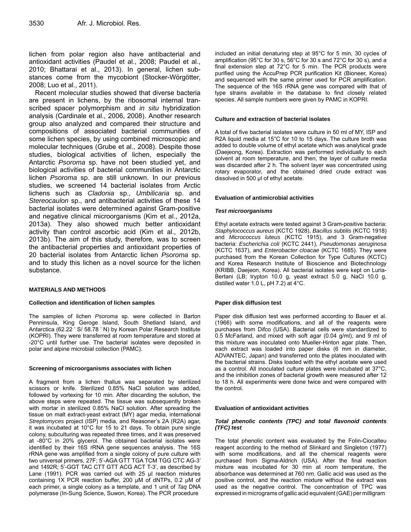lichen from polar region also have antibacterial and antioxidant activities (Paudel et al., 2008; Paudel et al., 2010; Bhattarai et al., 2013). In general, lichen substances come from the mycobiont (Stocker-Wörgötter, 2008; Luo et al., 2011).

Recent molecular studies showed that diverse bacteria are present in lichens, by the ribosomal internal transcribed spacer polymorphism and *in situ* hybridization analysis (Cardinale et al., 2006, 2008). Another research group also analyzed and compared their structure and compositions of associated bacterial communities of some lichen species, by using combined microscopic and molecular techniques (Grube et al., 2008). Despite those studies, biological activities of lichen, especially the Antarctic *Psoroma* sp. have not been studied yet, and biological activities of bacterial communities in Antarctic lichen *Psoroma* sp. are still unknown. In our previous studies, we screened 14 bacterial isolates from Arctic lichens such as *Cladonia* sp., *Umbilicaria* sp. and *Stereocaulon* sp., and antibacterial activities of these 14 bacterial isolates were determined against Gram-positive and negative clinical microorganisms (Kim et al., 2012a, 2013a). They also showed much better antioxidant activity than control ascorbic acid (Kim et al., 2012b, 2013b). The aim of this study, therefore, was to screen the antibacterial properties and antioxidant properties of 20 bacterial isolates from Antarctic lichen *Psoroma* sp. and to study this lichen as a novel source for the lichen substance.

# **MATERIALS AND METHODS**

#### **Collection and identification of lichen samples**

The samples of lichen *Psoroma* sp. were collected in Barton Penninsula, King Geroge Island, South Shetland Island, and Antarctica (62.22 ' S/ 58.78 ' N) by Korean Polar Research Institute (KOPRI). They were transferred at room temperature and stored at -20°C until further use. The bacterial isolates were deposited in polar and alpine microbial collection (PAMC).

#### **Screening of microorganisms associates with lichen**

A fragment from a lichen thallus was separated by sterilized scissors or knife. Sterilized 0.85% NaCl solution was added, followed by vortexing for 10 min. After discarding the solution, the above steps were repeated. The tissue was subsequently broken with mortar in sterilized 0.85% NaCl solution. After spreading the tissue on malt extract-yeast extract (MY) agar media, international *Streptomyces* project (ISP) media, and Reasoner's 2A (R2A) agar, it was incubated at 10°C for 15 to 21 days. To obtain pure single colony, subculturing was repeated three times, and it was preserved at -80°C in 20% glycerol. The obtained bacterial isolates were identified by their 16S rRNA gene sequences analysis. The 16S rRNA gene was amplified from a single colony of pure culture with two universal primers, 27F; 5'-AGA GTT TGA TCM TGG CTC AG-3' and 1492R; 5'-GGT TAC CTT GTT ACG ACT T-3', as described by Lane (1991). PCR was carried out with 25 μl reaction mixtures containing 1X PCR reaction buffer, 200 μM of dNTPs, 0.2 μM of each primer, a single colony as a template, and 1 unit of *Taq* DNA polymerase (In-Sung Science, Suwon, Korea). The PCR procedure

included an initial denaturing step at 95°C for 5 min, 30 cycles of amplification (95°C for 30 s, 56°C for 30 s and 72°C for 30 s), and a final extension step at 72°C for 5 min. The PCR products were purified using the AccuPrep PCR purification Kit (Bioneer, Korea) and sequenced with the same primer used for PCR amplification. The sequence of the 16S rRNA gene was compared with that of type strains available in the database to find closely related species. All sample numbers were given by PAMC in KOPRI.

#### **Culture and extraction of bacterial isolates**

A total of five bacterial isolates were culture in 50 ml of MY, ISP and R2A liquid media at 15°C for 10 to 15 days. The culture broth was added to double volume of ethyl acetate which was analytical grade (Daejeong, Korea). Extraction was performed individually to each solvent at room temperature, and then, the layer of culture media was discarded after 2 h. The solvent layer was concentrated using rotary evaporator, and the obtained dried crude extract was dissolved in 500 μl of ethyl acetate.

#### **Evaluation of antimicrobial activities**

#### *Test microorganisms*

Ethyl acetate extracts were tested against 3 Gram-positive bacteria: *Staphylococcus aureus* (KCTC 1928), *Bacillus subtilis* (KCTC 1918) and *Micrococcus luteus* (KCTC 1915), and 3 Gram-negative bacteria: *Escherichia coli* (KCTC 2441), *Pseudomonas aeruginosa* (KCTC 1637), and *Enterobacter cloacae* (KCTC 1685). They were purchased from the Korean Collection for Type Cultures (KCTC) and Korea Research Institute of Bioscience and Biotechnology (KRIBB, Daejeon, Korea). All bacterial isolates were kept on Luria-Bertani (LB; trypton 10.0 g, yeast extract 5.0 g, NaCl 10.0 g, distilled water 1.0 L, pH 7.2) at 4°C.

# **Paper disk diffusion test**

Paper disk diffusion test was performed according to Bauer et al. (1966) with some modifications, and all of the reagents were purchases from Difco (USA). Bacterial cells were standardized to 0.5 McFarland, and mixed with soft agar (0.04 g/ml), and 9 ml of this mixture was inoculated onto Mueller-Hinton agar plate. Then, each extract was loaded into paper disks (6 mm in diameter, ADVANTEC, Japan) and transferred onto the plates inoculated with the bacterial strains. Disks loaded with the ethyl acetate were used as a control. All inoculated culture plates were incubated at 37°C, and the inhibition zones of bacterial growth were measured after 12 to 18 h. All experiments were done twice and were compared with the control.

#### **Evaluation of antioxidant activities**

#### *Total phenolic contents (TPC) and total flavonoid contents (TFC) test*

The total phenolic content was evaluated by the Folin-Ciocalteu reagent according to the method of Slinkard and Singleton (1977) with some modifications, and all the chemical reagents were purchased from Sigma-Aldrich (USA). After the final reaction mixture was incubated for 30 min at room temperature, the absorbance was determined at 760 nm. Gallic acid was used as the positive control, and the reaction mixture without the extract was used as the negative control. The concentration of TPC was expressed in micrograms of gallic acid equivalent(GAE) per milligram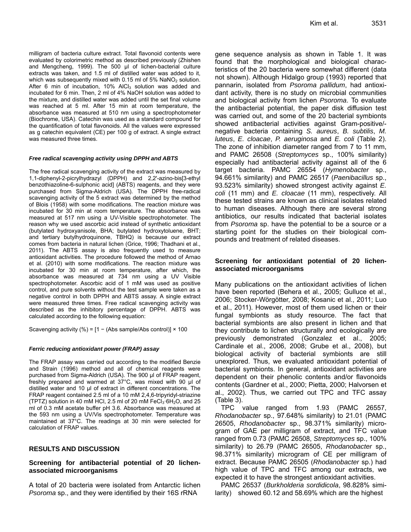milligram of bacteria culture extract. Total flavonoid contents were evaluated by colorimetric method as described previously (Zhishen and Mengcheng, 1999). The 500 μl of lichen-bacterial culture extracts was taken, and 1.5 ml of distilled water was added to it, which was subsequently mixed with  $0.15$  ml of 5% NaNO<sub>2</sub> solution. After 6 min of incubation,  $10\%$  AICI<sub>3</sub> solution was added and incubated for 6 min. Then, 2 ml of 4% NaOH solution was added to the mixture, and distilled water was added until the set final volume was reached at 5 ml. After 15 min at room temperature, the absorbance was measured at 510 nm using a spectrophotometer (Biochrome, USA). Catechin was used as a standard compound for the quantification of total flavonoids. All the values were expressed as g catechin equivalent (CE) per 100 g of extract. A single extract was measured three times.

# *Free radical scavenging activity using DPPH and ABTS*

The free radical scavenging activity of the extract was measured by 1,1-diphenyl-2-picrylhydrazyl (DPPH) and 2,2'-azino-bis[3-ethyl benzothiazoline-6-sulphonic acid] (ABTS) reagents, and they were purchased from Sigma-Aldrich (USA). The DPPH free-radical scavenging activity of the 5 extract was determined by the method of Blois (1958) with some modifications. The reaction mixture was incubated for 30 min at room temperature. The absorbance was measured at 517 nm using a UV-Visible spectrophotometer. The reason why we used ascorbic acid instead of synthetic antioxidant (butylated hydroxyanisole, BHA; butylated hydroxytoluene, BHT; and tertiary butylhydroquinone, TBHQ) is because our extract comes from bacteria in natural lichen (Grice, 1996; Thadhani et al., 2011). The ABTS assay is also frequently used to measure antioxidant activities. The procedure followed the method of Arnao et al. (2010) with some modifications. The reaction mixture was incubated for 30 min at room temperature, after which, the absorbance was measured at 734 nm using a UV Visible spectrophotometer. Ascorbic acid of 1 mM was used as positive control, and pure solvents without the test sample were taken as a negative control in both DPPH and ABTS assay. A single extract were measured three times. Free radical scavenging activity was described as the inhibitory percentage of DPPH. ABTS was calculated according to the following equation:

Scavenging activity (%) =  $[1 - (Abs sample/Abs control)] \times 100$ 

# *Ferric reducing antioxidant power (FRAP) assay*

The FRAP assay was carried out according to the modified Benzie and Strain (1996) method and all of chemical reagents were purchased from Sigma-Aldrich (USA). The 900 μl of FRAP reagent, freshly prepared and warmed at 37°C, was mixed with 90 μl of distilled water and 10 μl of extract in different concentrations. The FRAP reagent contained 2.5 ml of a 10 mM 2,4,6-tripyridyl-striazine (TPTZ) solution in 40 mM HCl, 2.5 ml of 20 mM FeCl $_3$  $6H_2O$ , and 25 ml of 0.3 mM acetate buffer pH 3.6. Absorbance was measured at the 593 nm using a UV/Vis spectrophotometer. Temperature was maintained at 37°C. The readings at 30 min were selected for calculation of FRAP values.

# **RESULTS AND DISCUSSION**

# **Screening for antibacterial potential of 20 lichenassociated microorganisms**

A total of 20 bacteria were isolated from Antarctic lichen *Psoroma* sp., and they were identified by their 16S rRNA

gene sequence analysis as shown in Table 1. It was found that the morphological and biological characteristics of the 20 bacteria were somewhat different (data not shown). Although Hidalgo group (1993) reported that pannarin, isolated from *Psoroma pallidum*, had antioxidant activity, there is no study on microbial communities and biological activity from lichen *Psoroma*. To evaluate the antibacterial potential, the paper disk diffusion test was carried out, and some of the 20 bacterial symbionts showed antibacterial activities against Gram-positive/ negative bacteria containing *S. aureus*, *B. subtilis*, *M. luteus*, *E. cloacae*, *P. aeruginosa* and *E. coli* (Table 2). The zone of inhibition diameter ranged from 7 to 11 mm, and PAMC 26508 (*Streptomyces* sp., 100% similarity) especially had antibacterial activity against all of the 6 target bacteria. PAMC 26554 (*Hymenobacter* sp., 94.661% similarity) and PAMC 26517 (*Paenibacillus* sp., 93.523% similarity) showed strongest activity against *E. coli* (11 mm) and *E. cloacae* (11 mm), respectively. All these tested strains are known as clinical isolates related to human diseases. Although there are several strong antibiotics, our results indicated that bacterial isolates from *Psoroma* sp. have the potential to be a source or a starting point for the studies on their biological compounds and treatment of related diseases.

# **Screening for antioxidant potential of 20 lichenassociated microorganisms**

Many publications on the antioxidant activities of lichen have been reported (Behera et al., 2005; Gulluce et al., 2006; Stocker-Wörgötter, 2008; Kosanic et al., 2011; Luo et al., 2011). However, most of them used lichen or their fungal symbionts as study resource. The fact that bacterial symbionts are also present in lichen and that they contribute to lichen structurally and ecologically are previously demonstrated (Gonzalez et al., 2005; Cardinale et al., 2006, 2008; Grube et al., 2008), but biological activity of bacterial symbionts are still unexplored. Thus, we evaluated antioxidant potential of bacterial symbionts. In general, antioxidant activities are dependent on their phenolic contents and/or flavonoids contents (Gardner et al., 2000; Pietta, 2000; Halvorsen et al., 2002). Thus, we carried out TPC and TFC assay (Table 3).

TPC value ranged from 1.93 (PAMC 26557, *Rhodanobacter* sp., 97.648% similarity) to 21.01 (PAMC 26505, *Rhodanobacter* sp., 98.371% similarity) microgram of GAE per milligram of extract, and TFC value ranged from 0.73 (PAMC 26508, *Streptomyces* sp., 100% similarity) to 26.79 (PAMC 26505, *Rhodanobacter* sp., 98.371% similarity) microgram of CE per milligram of extract. Because PAMC 26505 (*Rhodanobacter* sp.) had high value of TPC and TFC among our extracts, we expected it to have the strongest antioxidant activities.

PAMC 26537 (*Burkholderia sordidicola*, 98.828% similarity) showed 60.12 and 58.69% which are the highest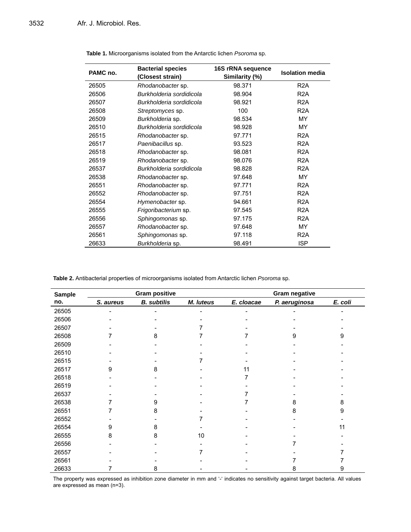| PAMC no. | <b>Bacterial species</b><br>(Closest strain) | 16S rRNA sequence<br>Similarity (%) | <b>Isolation media</b> |  |
|----------|----------------------------------------------|-------------------------------------|------------------------|--|
| 26505    | Rhodanobacter sp.                            | 98.371                              | R <sub>2</sub> A       |  |
| 26506    | Burkholderia sordidicola                     | 98.904                              | R <sub>2</sub> A       |  |
| 26507    | Burkholderia sordidicola                     | 98.921                              | R <sub>2</sub> A       |  |
| 26508    | Streptomyces sp.                             | 100                                 | R <sub>2</sub> A       |  |
| 26509    | Burkholderia sp.                             | 98.534                              | <b>MY</b>              |  |
| 26510    | Burkholderia sordidicola                     | 98.928                              | <b>MY</b>              |  |
| 26515    | Rhodanobacter sp.                            | 97.771                              | R <sub>2</sub> A       |  |
| 26517    | Paenibacillus sp.                            | 93.523                              | R <sub>2</sub> A       |  |
| 26518    | Rhodanobacter sp.                            | 98.081                              | R <sub>2</sub> A       |  |
| 26519    | Rhodanobacter sp.                            | 98.076                              | R <sub>2</sub> A       |  |
| 26537    | Burkholderia sordidicola                     | 98.828                              | R <sub>2</sub> A       |  |
| 26538    | Rhodanobacter sp.                            | 97.648                              | <b>MY</b>              |  |
| 26551    | Rhodanobacter sp.                            | 97.771                              | R <sub>2</sub> A       |  |
| 26552    | Rhodanobacter sp.                            | 97.751                              | R <sub>2</sub> A       |  |
| 26554    | Hymenobacter sp.                             | 94.661                              | R <sub>2</sub> A       |  |
| 26555    | Frigoribacterium sp.                         | 97.545                              | R <sub>2</sub> A       |  |
| 26556    | Sphingomonas sp.                             | 97.175                              | R <sub>2</sub> A       |  |
| 26557    | Rhodanobacter sp.                            | 97.648                              | MY                     |  |
| 26561    | Sphingomonas sp.                             | 97.118                              | R <sub>2</sub> A       |  |
| 26633    | Burkholderia sp.                             | 98.491                              | <b>ISP</b>             |  |

**Table 1.** Microorganisms isolated from the Antarctic lichen *Psoroma* sp.

**Table 2.** Antibacterial properties of microorganisms isolated from Antarctic lichen *Psoroma* sp.

| <b>Sample</b> | <b>Gram positive</b> |                    |           | <b>Gram negative</b> |               |         |
|---------------|----------------------|--------------------|-----------|----------------------|---------------|---------|
| no.           | S. aureus            | <b>B.</b> subtilis | M. luteus | E. cloacae           | P. aeruginosa | E. coli |
| 26505         |                      |                    |           |                      |               |         |
| 26506         |                      |                    |           |                      |               |         |
| 26507         |                      |                    |           |                      |               |         |
| 26508         |                      | 8                  |           |                      |               | 9       |
| 26509         |                      |                    |           |                      |               |         |
| 26510         |                      |                    |           |                      |               |         |
| 26515         |                      |                    |           |                      |               |         |
| 26517         | 9                    | 8                  |           | 11                   |               |         |
| 26518         |                      |                    |           |                      |               |         |
| 26519         |                      |                    |           |                      |               |         |
| 26537         |                      |                    |           |                      |               |         |
| 26538         |                      | g                  |           |                      | 8             | 8       |
| 26551         |                      | 8                  |           |                      | 8             | 9       |
| 26552         |                      |                    |           |                      |               |         |
| 26554         | 9                    | 8                  |           |                      |               | 11      |
| 26555         | 8                    | 8                  | 10        |                      |               |         |
| 26556         |                      |                    |           |                      |               |         |
| 26557         |                      |                    |           |                      |               |         |
| 26561         |                      |                    |           |                      |               |         |
| 26633         |                      | 8                  |           |                      | 8             | 9       |

The property was expressed as inhibition zone diameter in mm and '-' indicates no sensitivity against target bacteria. All values are expressed as mean (n=3).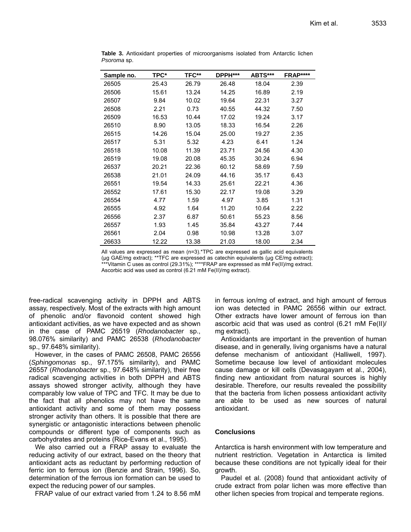| Sample no. | TPC*  | TFC** | DPPH*** | ABTS*** | <b>FRAP****</b> |
|------------|-------|-------|---------|---------|-----------------|
| 26505      | 25.43 | 26.79 | 26.48   | 18.04   | 2.39            |
| 26506      | 15.61 | 13.24 | 14.25   | 16.89   | 2.19            |
| 26507      | 9.84  | 10.02 | 19.64   | 22.31   | 3.27            |
| 26508      | 2.21  | 0.73  | 40.55   | 44.32   | 7.50            |
| 26509      | 16.53 | 10.44 | 17.02   | 19.24   | 3.17            |
| 26510      | 8.90  | 13.05 | 18.33   | 16.54   | 2.26            |
| 26515      | 14.26 | 15.04 | 25.00   | 19.27   | 2.35            |
| 26517      | 5.31  | 5.32  | 4.23    | 6.41    | 1.24            |
| 26518      | 10.08 | 11.39 | 23.71   | 24.56   | 4.30            |
| 26519      | 19.08 | 20.08 | 45.35   | 30.24   | 6.94            |
| 26537      | 20.21 | 22.36 | 60.12   | 58.69   | 7.59            |
| 26538      | 21.01 | 24.09 | 44.16   | 35.17   | 6.43            |
| 26551      | 19.54 | 14.33 | 25.61   | 22.21   | 4.36            |
| 26552      | 17.61 | 15.30 | 22.17   | 19.08   | 3.29            |
| 26554      | 4.77  | 1.59  | 4.97    | 3.85    | 1.31            |
| 26555      | 4.92  | 1.64  | 11.20   | 10.64   | 2.22            |
| 26556      | 2.37  | 6.87  | 50.61   | 55.23   | 8.56            |
| 26557      | 1.93  | 1.45  | 35.84   | 43.27   | 7.44            |
| 26561      | 2.04  | 0.98  | 10.98   | 13.28   | 3.07            |
| 26633      | 12.22 | 13.38 | 21.03   | 18.00   | 2.34            |

**Table 3.** Antioxidant properties of microorganisms isolated from Antarctic lichen *Psoroma* sp.

All values are expressed as mean (n=3).\*TPC are expressed as gallic acid equivalents (µg GAE/mg extract); \*\*TFC are expressed as catechin equivalents (µg CE/mg extract); \*\*\*Vitamin C uses as control (29.31%); \*\*\*\*FRAP are expressed as mM Fe(II)/mg extract. Ascorbic acid was used as control (6.21 mM Fe(II)/mg extract).

free-radical scavenging activity in DPPH and ABTS assay, respectively. Most of the extracts with high amount of phenolic and/or flavonoid content showed high antioxidant activities, as we have expected and as shown in the case of PAMC 26519 (*Rhodanobacter* sp., 98.076% similarity) and PAMC 26538 (*Rhodanobacter* sp., 97.648% similarity).

However, in the cases of PAMC 26508, PAMC 26556 (*Sphingomonas* sp., 97.175% similarity), and PAMC 26557 (*Rhodanobacter* sp., 97.648% similarity), their free radical scavenging activities in both DPPH and ABTS assays showed stronger activity, although they have comparably low value of TPC and TFC. It may be due to the fact that all phenolics may not have the same antioxidant activity and some of them may possess stronger activity than others. It is possible that there are synergistic or antagonistic interactions between phenolic compounds or different type of components such as carbohydrates and proteins (Rice-Evans et al., 1995).

We also carried out a FRAP assay to evaluate the reducing activity of our extract, based on the theory that antioxidant acts as reductant by performing reduction of ferric ion to ferrous ion (Benzie and Strain, 1996). So, determination of the ferrous ion formation can be used to expect the reducing power of our samples.

FRAP value of our extract varied from 1.24 to 8.56 mM

in ferrous ion/mg of extract, and high amount of ferrous ion was detected in PAMC 26556 within our extract. Other extracts have lower amount of ferrous ion than ascorbic acid that was used as control (6.21 mM Fe(II)/ mg extract).

Antioxidants are important in the prevention of human disease, and in generally, living organisms have a natural defense mechanism of antioxidant (Halliwell, 1997). Sometime because low level of antioxidant molecules cause damage or kill cells (Devasagayam et al., 2004), finding new antioxidant from natural sources is highly desirable. Therefore, our results revealed the possibility that the bacteria from lichen possess antioxidant activity are able to be used as new sources of natural antioxidant.

# **Conclusions**

Antarctica is harsh environment with low temperature and nutrient restriction. Vegetation in Antarctica is limited because these conditions are not typically ideal for their growth.

Paudel et al. (2008) found that antioxidant activity of crude extract from polar lichen was more effective than other lichen species from tropical and temperate regions.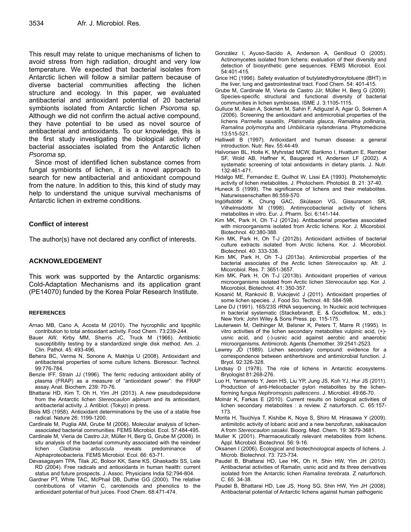This result may relate to unique mechanisms of lichen to avoid stress from high radiation, drought and very low temperature. We expected that bacterial isolates from Antarctic lichen will follow a similar pattern because of diverse bacterial communities affecting the lichen structure and ecology. In this paper, we evaluated antibacterial and antioxidant potential of 20 bacterial symbionts isolated from Antarctic lichen *Psoroma* sp. Although we did not confirm the actual active compound, they have potential to be used as novel source of antibacterial and antioxidants. To our knowledge, this is the first study investigating the biological activity of bacterial associates isolated from the Antarctic lichen *Psoroma* sp.

Since most of identified lichen substance comes from fungal symbionts of lichen, it is a novel approach to search for new antibacterial and antioxidant compound from the nature. In addition to this, this kind of study may help to understand the unique survival mechanisms of Antarctic lichen in extreme conditions.

# **Conflict of interest**

The author(s) have not declared any conflict of interests.

# **ACKNOWLEDGEMENT**

This work was supported by the Antarctic organisms: Cold-Adaptation Mechanisms and its application grant (PE14070) funded by the Korea Polar Research Institute.

#### **REFERENCES**

- Arnao MB, Cano A, Acosta M (2010). The hycrophilic and lipophlic contribution to total antioxidant activity. Food Chem. 73:239-244.
- Bauer AW, Kirby MM, Sherris JC, Truck M (1966). Antibiotic susceptibility testing by a standardized single disk method. Am. J. Clin. Pathol. 45: 493-496.
- Behera BC, Verma N, Sonone A, Makhija U (2008). Antioxidant and antibacterial properties of some culture lichens. Bioresour. Technol. 99:776-784.
- Benzie IFF, Strain JJ (1996). The ferric reducing antioxidant ability of plasma (FRAP) as a measure of "antioxidant power": the FRAP assay. Anal. Biochem. 239: 70-76.
- Bhattarai HD, Kim T, Oh H, Yim JH (2013). A new pseudodepsidone from the Antarctic lichen *Stereocaulon alpinum* and its antioxidant, antibacterial activity. J. Antibiot. (Tokyo) in press.
- Blois MS (1958). Antioxidant determinations by the use of a stable free radical. Nature 26: 1199-1200.
- Cardinale M, Puglia AM, Grube M (2006). Molecular analysis of lichenassociated bacterial communities. FEMS Microbiol. Ecol. 57:484-495.
- Cardinale M, Vieria de Castro JJr, Müller H, Berg G, Grube M (2008). In situ analysis of the bacterial community associated with the reindeer lichen *Cladonia arbuscula* reveals predominance of Alphaproteobacteria. FEMS Microbiol. Ecol. 66: 63-71.
- Devasagayam TPA, Tilak JC, Boloor KK, Sane KS, Ghaskadbi SS, Lele RD (2004). Free radicals and antioxidants in human health: current status and future prospects. J. Assoc. Physicians India 52:794-804.
- Gardner PT, White TAC, McPhail DB, Duthie GG (2000). The relative contributions of vitamin C, carotenoids and phenolics to the antioxidant potential of fruit juices. Food Chem. 68:471-474.
- González I, Ayuso-Sacido A, Anderson A, Genilloud O (2005). Actinomycetes isolated from lichens: evaluation of their diversity and detection of biosynthetic gene sequences. FEMS Microbiol. Ecol. 54:401-415.
- Grice HC (1996). Safety evaluation of butylatedhydroxytoluene (BHT) in the liver, lung and gastrointestinal tract. Food Chem. 54: 401-415.
- Grube M, Cardinale M, Vieria de Castro JJr, Müller H, Berg G (2009). Species-specific structural and functional diversity of bacterial communities in lichen symbioses. ISME J. 3:1105-1115.
- Gulluce M, Aslan A, Sokmen M, Sahin F, Adiguzel A, Agar G, Sokmen A (2006). Screening the antioxidant and antimicrobial properties of the lichens *Parmella saxatilis*, *Platismatia glauca*, *Ramalina pollinaria*, *Ramalina polymorpha* and *Umbilicaria nylanderiana*. Phytomedicine 13:515-521.
- Halliwell B (1997). Antioxidant and human disease: a general introduction. Nutr. Rev. 55:44-49.
- Halvorsen BL, Holte K, Myhrstad MCW, Barikmo I, Hvattum E, Rember SF, Wold AB, Haffner K, Baugerød H, Andersen LF (2002). A systematic screening of total antioxidants in dietary plants. J. Nutr. 132:461-471.
- Hidalgo ME, Fernandez E, Quilhot W, Lissi EA (1993). Photohemolytic activity of lichen metabolites. J. Photochem. Photobiol. B. 21: 37-40.
- Huneck S (1999). The significance of lichens and their metabolites. Naturwissenschaften 86:559-570.
- Ingólfsdóttir K, Chung GAC, Skúlason VG, Gissurarson SR, Vilhelmsdóttir M (1998). Antimycobacterial activity of lichens metabolites in vitro. Eur. J. Pharm. Sci. 6:141-144.
- Kim MK, Park H, Oh T-J (2012a). Antibacterial properties associated with microorganisms isolated from Arctic lichens. Kor. J. Micorobiol. Biotechnol. 40:380-388.
- Kim MK, Park H, Oh T-J (2012b). Antioxidant activities of bacterial culture extracts isolated from Arctic lichens. Kor. J. Micorobiol. Biotechnol. 40: 333-338.
- Kim MK, Park H, Oh T-J (2013a). Antimicrobial properties of the bacterial associates of the Arctic lichen *Stereocaulon* sp. Afr. J. Micorobiol. Res. 7: 3651-3657.
- Kim MK, Park H, Oh T-J (2013b). Antioxidant properties of various microorganisms isolated from Arctic lichen *Stereocaulon* spp. Kor. J. Micorobiol. Biotechnol. 41: 350-357.
- Kosanić M, Ranković B, Vukojević J (2011). Antioxidant properties of some lichen species. J. Food Sci. Technol. 48: 584-598.
- Lane DJ (1991). 16S/23S rRNA sequencing, In Nucleic acid techniques in bacterial systematic (Stackebrandt, E. & Goodfellow, M., eds.): New York: John Wiley & Sons Press. pp. 115-175.
- Lauterwein M, Oethinger M, Belsner K, Peters T, Marre R (1995). In vitro activities of the lichen secondary metabolites vulpinic acid, (+) usnic acid, and (-)-usnic acid against aerobic and anaerobic microorganisms. Antimicrob. Agents Chemother. 39:2541-2523.
- Lawrey JD (1989). Lichen secondary compound: evidence for a correspondence between antiherbivore and antimicrobial function. J. Bryol. 92:326-328.
- Lindsay D (1978). The role of lichens in Antarctic ecosystems. Bryologist 81:268-276.
- Luo H, Yamamoto Y, Jeon HS, Liu YP, Jung JS, Koh YJ, Hur JS (2011). Production of anti-Helicobacter pylori metabolites by the lichenforming fungus *Nephromopsis pallescens*. J. Microbiol. 49:66-70.
- Molnár K, Farkas E (2010). Current results on biological activities of lichen secondary metabolites : a review. Z naturforsch. C. 65:157- 173.
- Morita H, Tsuchiya T, Kishibe K, Noya S, Shiro M, Hirasawa Y (2009). antimitotic activity of lobaric acid and a new benzofuran, sakisacaulon A from *Stereocaulon sasakii*. Bioorg. Med. Chem. 19: 3679-3681.
- Muller K (2001). Pharmaceutically relevant metabolites from lichens. Appl. Microbiol. Biotechnol. 56: 9-16.
- Oksanen I (2006). Ecological and biotechnological aspects of lichens. J. Microb. Biotechnol. 73: 723-734.
- Paudel B, Bhattarai HD, Lee HK, Oh H, Shin HW, Yim JH (2010). Antibacterial activities of Ramalin, usnic acid and its three derivatives isolated from the Antarctic lichen *Ramalina terebrata*. Z naturforsch. C. 65: 34-38.
- Paudel B, Bhattarai HD, Lee JS, Hong SG, Shin HW, Yim JH (2008). Antibacterial potential of Antarctic lichens against human pathogenic